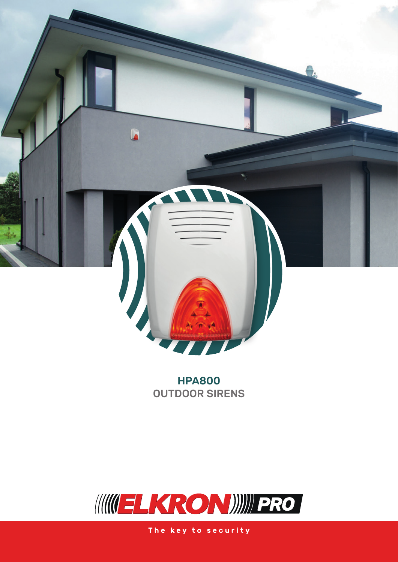

**HPA800 OUTDOOR SIRENS** 



The key to security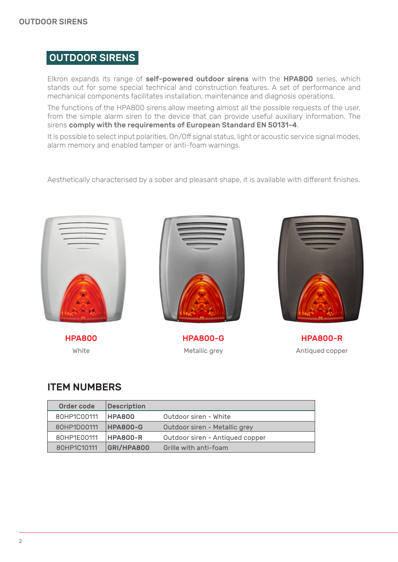## OUTDOOR SIRENS

Elkron expands its range of self-powered outdoor sirens with the HPA800 series, which stands out for some special technical and construction features. A set of performance and mechanical components facilitates installation, maintenance and diagnosis operations.

The functions of the HPA800 sirens allow meeting almost all the possible requests of the user, from the simple alarm siren to the device that can provide useful auxiliary information. The sirens comply with the requirements of European Standard EN 50131-4.

It is possible to select input polarities, On/Off signal status, light or acoustic service signal modes, alarm memory and enabled tamper or anti-foam warnings.

Aesthetically characterised by a sober and pleasant shape, it is available with different finishes.



HPA800 White



HPA800-G Metallic grey



HPA800-R Antiqued copper

## ITEM NUMBERS

| Order code  | <b>Description</b> |                                 |
|-------------|--------------------|---------------------------------|
|             |                    |                                 |
| 80HP1C00111 | <b>HPA800</b>      | Outdoor siren - White           |
| 80HP1D00111 | <b>HPA800-G</b>    | Outdoor siren - Metallic grey   |
| 80HP1E00111 | <b>HPA800-R</b>    | Outdoor siren - Antiqued copper |
| 80HP1C10111 | GRI/HPA800         | Grille with anti-foam           |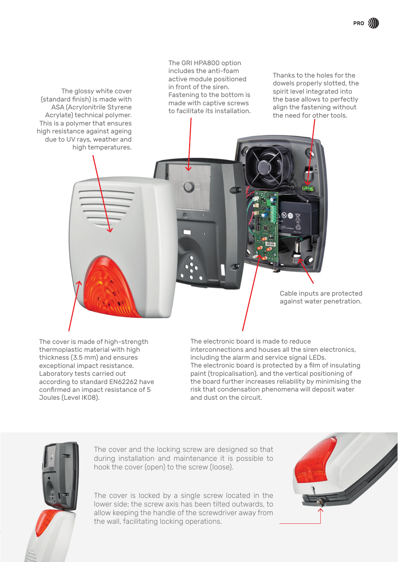The glossy white cover (standard finish) is made with ASA (Acrylonitrile Styrene Acrylate) technical polymer. This is a polymer that ensures high resistance against ageing due to UV rays, weather and high temperatures.

The GRI HPA800 option includes the anti-foam active module positioned in front of the siren. Fastening to the bottom is made with captive screws to facilitate its installation.

**re** 

Thanks to the holes for the dowels properly slotted, the spirit level integrated into the base allows to perfectly align the fastening without the need for other tools.

The cover is made of high-strength thermoplastic material with high thickness (3.5 mm) and ensures exceptional impact resistance. Laboratory tests carried out according to standard EN62262 have confirmed an impact resistance of 5 Joules (Level IK08).

Cable inputs are protected against water penetration.

The electronic board is made to reduce interconnections and houses all the siren electronics, including the alarm and service signal LEDs. The electronic board is protected by a film of insulating paint (tropicalisation), and the vertical positioning of the board further increases reliability by minimising the risk that condensation phenomena will deposit water and dust on the circuit.



The cover and the locking screw are designed so that during installation and maintenance it is possible to hook the cover (open) to the screw (loose).

The cover is locked by a single screw located in the lower side; the screw axis has been tilted outwards, to allow keeping the handle of the screwdriver away from the wall, facilitating locking operations.